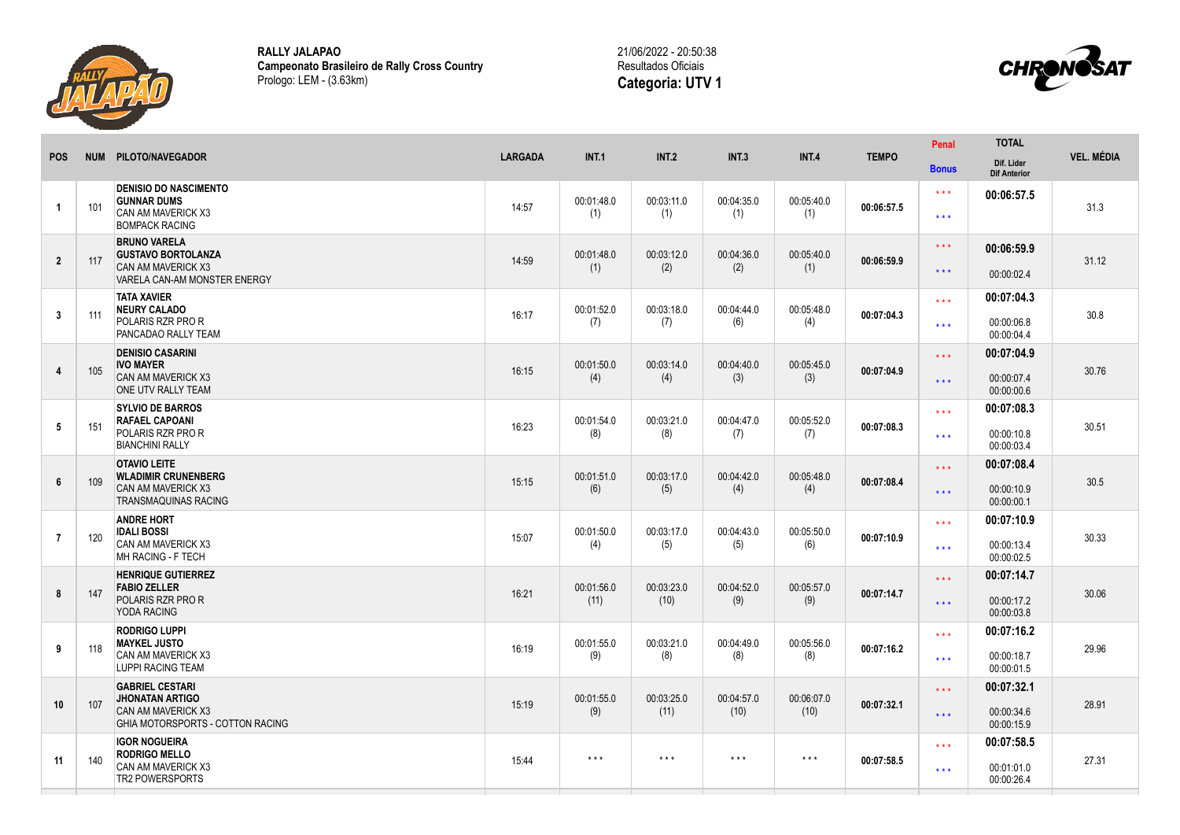

**RALLY JALAPAO Campeonato Brasileiro de Rally Cross Country** Prologo: LEM - (3.63km)





| <b>POS</b>     | <b>NUM</b> | PILOTO/NAVEGADOR                                                                                                         | <b>LARGADA</b> | <b>INT.1</b>            | <b>INT.2</b>            | <b>INT.3</b>       | INT.4               | <b>TEMPO</b> | Penal<br><b>Bonus</b>                      | <b>TOTAL</b><br>Dif. Lider             | <b>VEL. MÉDIA</b> |
|----------------|------------|--------------------------------------------------------------------------------------------------------------------------|----------------|-------------------------|-------------------------|--------------------|---------------------|--------------|--------------------------------------------|----------------------------------------|-------------------|
| $\mathbf{1}$   | 101        | <b>DENISIO DO NASCIMENTO</b><br><b>GUNNAR DUMS</b><br><b>CAN AM MAVERICK X3</b><br><b>BOMPACK RACING</b>                 | 14:57          | 00:01:48.0<br>(1)       | 00:03:11.0<br>(1)       | 00:04:35.0<br>(1)  | 00:05:40.0<br>(1)   | 00:06:57.5   | $* * *$<br>$***$                           | <b>Dif Anterior</b><br>00:06:57.5      | 31.3              |
| $\overline{2}$ | 117        | <b>BRUNO VARELA</b><br><b>GUSTAVO BORTOLANZA</b><br>CAN AM MAVERICK X3<br>VARELA CAN-AM MONSTER ENERGY                   | 14:59          | 00:01:48.0<br>(1)       | 00:03:12.0<br>(2)       | 00:04:36.0<br>(2)  | 00:05:40.0<br>(1)   | 00:06:59.9   | $\star\star\star$<br>$\star\star\star$     | 00:06:59.9<br>00:00:02.4               | 31.12             |
| 3              | 111        | <b>TATA XAVIER</b><br><b>NEURY CALADO</b><br>POLARIS RZR PRO R<br>PANCADAO RALLY TEAM                                    | 16:17          | 00:01:52.0<br>(7)       | 00:03:18.0<br>(7)       | 00:04:44.0<br>(6)  | 00:05:48.0<br>(4)   | 00:07:04.3   | $***$<br>$\star \star \star$               | 00:07:04.3<br>00:00:06.8<br>00:00:04.4 | 30.8              |
| $\overline{4}$ | 105        | <b>DENISIO CASARINI</b><br><b>IVO MAYER</b><br><b>CAN AM MAVERICK X3</b><br>ONE UTV RALLY TEAM                           | 16:15          | 00:01:50.0<br>(4)       | 00:03:14.0<br>(4)       | 00:04:40.0<br>(3)  | 00:05:45.0<br>(3)   | 00:07:04.9   | $\star\star\star$<br>$\star\star\star$     | 00:07:04.9<br>00:00:07.4<br>00:00:00.6 | 30.76             |
| 5              | 151        | <b>SYLVIO DE BARROS</b><br><b>RAFAEL CAPOANI</b><br>POLARIS RZR PRO R<br><b>BIANCHINI RALLY</b>                          | 16:23          | 00:01:54.0<br>(8)       | 00:03:21.0<br>(8)       | 00:04:47.0<br>(7)  | 00:05:52.0<br>(7)   | 00:07:08.3   | $***$<br>$***$                             | 00:07:08.3<br>00:00:10.8<br>00:00:03.4 | 30.51             |
| 6              | 109        | <b>OTAVIO LEITE</b><br><b>WLADIMIR CRUNENBERG</b><br><b>CAN AM MAVERICK X3</b><br><b>TRANSMAQUINAS RACING</b>            | 15:15          | 00:01:51.0<br>(6)       | 00:03:17.0<br>(5)       | 00:04:42.0<br>(4)  | 00:05:48.0<br>(4)   | 00:07:08.4   | $\star\star\star$<br>$\star\star\star$     | 00:07:08.4<br>00:00:10.9<br>00:00:00.1 | 30.5              |
| $\overline{7}$ | 120        | <b>ANDRE HORT</b><br><b>IDALI BOSSI</b><br><b>CAN AM MAVERICK X3</b><br><b>MH RACING - F TECH</b>                        | 15:07          | 00:01:50.0<br>(4)       | 00:03:17.0<br>(5)       | 00:04:43.0<br>(5)  | 00:05:50.0<br>(6)   | 00:07:10.9   | $* * *$<br>$***$                           | 00:07:10.9<br>00:00:13.4<br>00:00:02.5 | 30.33             |
| 8              | 147        | <b>HENRIQUE GUTIERREZ</b><br><b>FABIO ZELLER</b><br>POLARIS RZR PRO R<br>YODA RACING                                     | 16:21          | 00:01:56.0<br>(11)      | 00:03:23.0<br>(10)      | 00:04:52.0<br>(9)  | 00:05:57.0<br>(9)   | 00:07:14.7   | $\star \star \star$<br>$\star \star \star$ | 00:07:14.7<br>00:00:17.2<br>00:00:03.8 | 30.06             |
| 9              | 118        | <b>RODRIGO LUPPI</b><br><b>MAYKEL JUSTO</b><br>CAN AM MAVERICK X3<br><b>LUPPI RACING TEAM</b>                            | 16:19          | 00:01:55.0<br>(9)       | 00:03:21.0<br>(8)       | 00:04:49.0<br>(8)  | 00:05:56.0<br>(8)   | 00:07:16.2   | $\star \star \star$<br>$\star \star \star$ | 00:07:16.2<br>00:00:18.7<br>00:00:01.5 | 29.96             |
| 10             | 107        | <b>GABRIEL CESTARI</b><br><b>JHONATAN ARTIGO</b><br><b>CAN AM MAVERICK X3</b><br><b>GHIA MOTORSPORTS - COTTON RACING</b> | 15:19          | 00:01:55.0<br>(9)       | 00:03:25.0<br>(11)      | 00:04:57.0<br>(10) | 00:06:07.0<br>(10)  | 00:07:32.1   | $\star\star\star$<br>$\star\star\star$     | 00:07:32.1<br>00:00:34.6<br>00:00:15.9 | 28.91             |
| 11             | 140        | <b>IGOR NOGUEIRA</b><br><b>RODRIGO MELLO</b><br>CAN AM MAVERICK X3<br>TR2 POWERSPORTS                                    | 15:44          | $\star$ $\star$ $\star$ | $\star$ $\star$ $\star$ | $***$              | $\star \star \star$ | 00:07:58.5   | $* * *$<br>$\star\star\star$               | 00:07:58.5<br>00:01:01.0<br>00:00:26.4 | 27.31             |